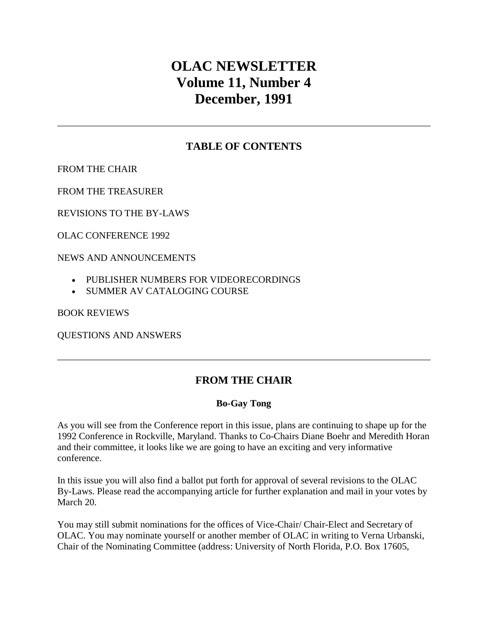# **OLAC NEWSLETTER Volume 11, Number 4 December, 1991**

## **TABLE OF CONTENTS**

[FROM THE CHAIR](http://ublib.buffalo.edu/libraries/units/cts/olac/newsletters/dec91.html#chair)

[FROM THE TREASURER](http://ublib.buffalo.edu/libraries/units/cts/olac/newsletters/dec91.html#treasurer)

[REVISIONS TO THE BY-LAWS](http://ublib.buffalo.edu/libraries/units/cts/olac/newsletters/dec91.html#revisions)

[OLAC CONFERENCE 1992](http://ublib.buffalo.edu/libraries/units/cts/olac/newsletters/dec91.html#olac)

[NEWS AND ANNOUNCEMENTS](http://ublib.buffalo.edu/libraries/units/cts/olac/newsletters/dec91.html#news)

- [PUBLISHER NUMBERS FOR VIDEORECORDINGS](http://ublib.buffalo.edu/libraries/units/cts/olac/newsletters/dec91.html#publisher)
- [SUMMER AV CATALOGING COURSE](http://ublib.buffalo.edu/libraries/units/cts/olac/newsletters/dec91.html#summer)

[BOOK REVIEWS](http://ublib.buffalo.edu/libraries/units/cts/olac/newsletters/dec91.html#reviews)

[QUESTIONS AND ANSWERS](http://ublib.buffalo.edu/libraries/units/cts/olac/newsletters/dec91.html#questions)

# **FROM THE CHAIR**

#### **Bo-Gay Tong**

As you will see from the Conference report in this issue, plans are continuing to shape up for the 1992 Conference in Rockville, Maryland. Thanks to Co-Chairs Diane Boehr and Meredith Horan and their committee, it looks like we are going to have an exciting and very informative conference.

In this issue you will also find a ballot put forth for approval of several revisions to the OLAC By-Laws. Please read the accompanying article for further explanation and mail in your votes by March 20.

You may still submit nominations for the offices of Vice-Chair/ Chair-Elect and Secretary of OLAC. You may nominate yourself or another member of OLAC in writing to Verna Urbanski, Chair of the Nominating Committee (address: University of North Florida, P.O. Box 17605,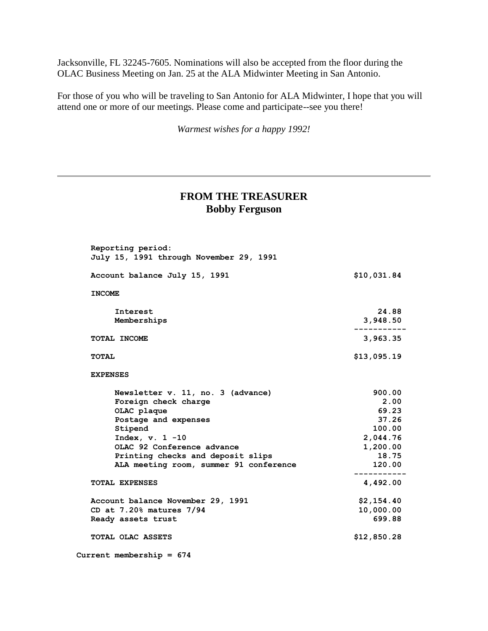Jacksonville, FL 32245-7605. Nominations will also be accepted from the floor during the OLAC Business Meeting on Jan. 25 at the ALA Midwinter Meeting in San Antonio.

For those of you who will be traveling to San Antonio for ALA Midwinter, I hope that you will attend one or more of our meetings. Please come and participate--see you there!

*Warmest wishes for a happy 1992!*

#### **FROM THE TREASURER Bobby Ferguson**

| Reporting period:<br>July 15, 1991 through November 29, 1991 |             |
|--------------------------------------------------------------|-------------|
| Account balance July 15, 1991                                | \$10,031.84 |
| <b>INCOME</b>                                                |             |
| Interest                                                     | 24.88       |
| Memberships                                                  | 3,948.50    |
| TOTAL INCOME                                                 | 3,963.35    |
| <b>TOTAL</b>                                                 | \$13,095.19 |
| <b>EXPENSES</b>                                              |             |
| Newsletter v. 11, no. 3 (advance)                            | 900.00      |
| Foreign check charge                                         | 2.00        |
| OLAC plaque                                                  | 69.23       |
| Postage and expenses                                         | 37.26       |
| Stipend                                                      | 100.00      |
| Index, $v. 1 -10$                                            | 2,044.76    |
| OLAC 92 Conference advance                                   | 1,200.00    |
| Printing checks and deposit slips                            | 18.75       |
| ALA meeting room, summer 91 conference                       | 120.00      |
| <b>TOTAL EXPENSES</b>                                        | 4,492.00    |
| Account balance November 29, 1991                            | \$2,154.40  |
| CD at 7.20% matures 7/94                                     | 10,000.00   |
| Ready assets trust                                           | 699.88      |
|                                                              | \$12,850.28 |

 **Current membership = 674**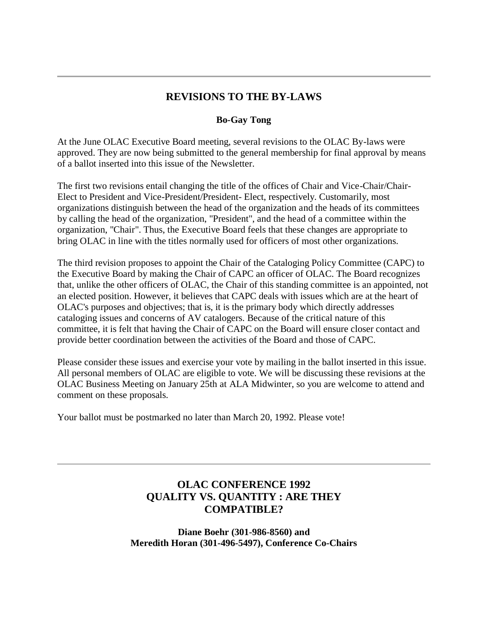## **REVISIONS TO THE BY-LAWS**

#### **Bo-Gay Tong**

At the June OLAC Executive Board meeting, several revisions to the OLAC By-laws were approved. They are now being submitted to the general membership for final approval by means of a ballot inserted into this issue of the Newsletter.

The first two revisions entail changing the title of the offices of Chair and Vice-Chair/Chair-Elect to President and Vice-President/President- Elect, respectively. Customarily, most organizations distinguish between the head of the organization and the heads of its committees by calling the head of the organization, "President", and the head of a committee within the organization, "Chair". Thus, the Executive Board feels that these changes are appropriate to bring OLAC in line with the titles normally used for officers of most other organizations.

The third revision proposes to appoint the Chair of the Cataloging Policy Committee (CAPC) to the Executive Board by making the Chair of CAPC an officer of OLAC. The Board recognizes that, unlike the other officers of OLAC, the Chair of this standing committee is an appointed, not an elected position. However, it believes that CAPC deals with issues which are at the heart of OLAC's purposes and objectives; that is, it is the primary body which directly addresses cataloging issues and concerns of AV catalogers. Because of the critical nature of this committee, it is felt that having the Chair of CAPC on the Board will ensure closer contact and provide better coordination between the activities of the Board and those of CAPC.

Please consider these issues and exercise your vote by mailing in the ballot inserted in this issue. All personal members of OLAC are eligible to vote. We will be discussing these revisions at the OLAC Business Meeting on January 25th at ALA Midwinter, so you are welcome to attend and comment on these proposals.

Your ballot must be postmarked no later than March 20, 1992. Please vote!

# **OLAC CONFERENCE 1992 QUALITY VS. QUANTITY : ARE THEY COMPATIBLE?**

**Diane Boehr (301-986-8560) and Meredith Horan (301-496-5497), Conference Co-Chairs**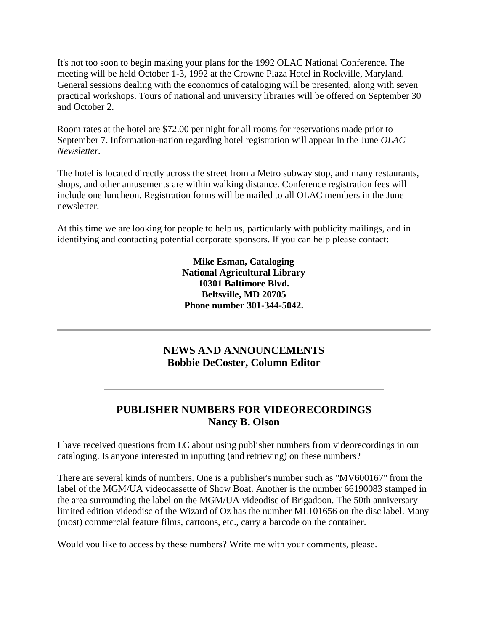It's not too soon to begin making your plans for the 1992 OLAC National Conference. The meeting will be held October 1-3, 1992 at the Crowne Plaza Hotel in Rockville, Maryland. General sessions dealing with the economics of cataloging will be presented, along with seven practical workshops. Tours of national and university libraries will be offered on September 30 and October 2.

Room rates at the hotel are \$72.00 per night for all rooms for reservations made prior to September 7. Information-nation regarding hotel registration will appear in the June *OLAC Newsletter.*

The hotel is located directly across the street from a Metro subway stop, and many restaurants, shops, and other amusements are within walking distance. Conference registration fees will include one luncheon. Registration forms will be mailed to all OLAC members in the June newsletter.

At this time we are looking for people to help us, particularly with publicity mailings, and in identifying and contacting potential corporate sponsors. If you can help please contact:

> **Mike Esman, Cataloging National Agricultural Library 10301 Baltimore Blvd. Beltsville, MD 20705 Phone number 301-344-5042.**

# **NEWS AND ANNOUNCEMENTS Bobbie DeCoster, Column Editor**

# **PUBLISHER NUMBERS FOR VIDEORECORDINGS Nancy B. Olson**

I have received questions from LC about using publisher numbers from videorecordings in our cataloging. Is anyone interested in inputting (and retrieving) on these numbers?

There are several kinds of numbers. One is a publisher's number such as "MV600167" from the label of the MGM/UA videocassette of Show Boat. Another is the number 66190083 stamped in the area surrounding the label on the MGM/UA videodisc of Brigadoon. The 50th anniversary limited edition videodisc of the Wizard of Oz has the number ML101656 on the disc label. Many (most) commercial feature films, cartoons, etc., carry a barcode on the container.

Would you like to access by these numbers? Write me with your comments, please.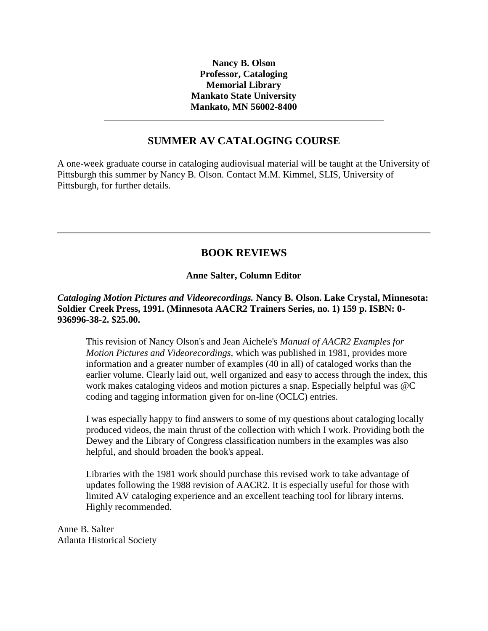**Nancy B. Olson Professor, Cataloging Memorial Library Mankato State University Mankato, MN 56002-8400**

### **SUMMER AV CATALOGING COURSE**

A one-week graduate course in cataloging audiovisual material will be taught at the University of Pittsburgh this summer by Nancy B. Olson. Contact M.M. Kimmel, SLIS, University of Pittsburgh, for further details.

# **BOOK REVIEWS**

#### **Anne Salter, Column Editor**

#### *Cataloging Motion Pictures and Videorecordings.* **Nancy B. Olson. Lake Crystal, Minnesota: Soldier Creek Press, 1991. (Minnesota AACR2 Trainers Series, no. 1) 159 p. ISBN: 0- 936996-38-2. \$25.00.**

This revision of Nancy Olson's and Jean Aichele's *Manual of AACR2 Examples for Motion Pictures and Videorecordings,* which was published in 1981, provides more information and a greater number of examples (40 in all) of cataloged works than the earlier volume. Clearly laid out, well organized and easy to access through the index, this work makes cataloging videos and motion pictures a snap. Especially helpful was @C coding and tagging information given for on-line (OCLC) entries.

I was especially happy to find answers to some of my questions about cataloging locally produced videos, the main thrust of the collection with which I work. Providing both the Dewey and the Library of Congress classification numbers in the examples was also helpful, and should broaden the book's appeal.

Libraries with the 1981 work should purchase this revised work to take advantage of updates following the 1988 revision of AACR2. It is especially useful for those with limited AV cataloging experience and an excellent teaching tool for library interns. Highly recommended.

Anne B. Salter Atlanta Historical Society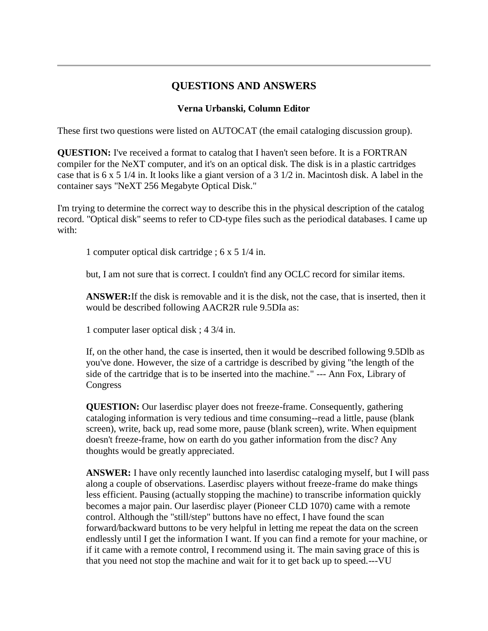### **QUESTIONS AND ANSWERS**

#### **Verna Urbanski, Column Editor**

These first two questions were listed on AUTOCAT (the email cataloging discussion group).

**QUESTION:** I've received a format to catalog that I haven't seen before. It is a FORTRAN compiler for the NeXT computer, and it's on an optical disk. The disk is in a plastic cartridges case that is 6 x 5 1/4 in. It looks like a giant version of a 3 1/2 in. Macintosh disk. A label in the container says "NeXT 256 Megabyte Optical Disk."

I'm trying to determine the correct way to describe this in the physical description of the catalog record. "Optical disk" seems to refer to CD-type files such as the periodical databases. I came up with:

1 computer optical disk cartridge ; 6 x 5 1/4 in.

but, I am not sure that is correct. I couldn't find any OCLC record for similar items.

**ANSWER:**If the disk is removable and it is the disk, not the case, that is inserted, then it would be described following AACR2R rule 9.5DIa as:

1 computer laser optical disk ; 4 3/4 in.

If, on the other hand, the case is inserted, then it would be described following 9.5Dlb as you've done. However, the size of a cartridge is described by giving "the length of the side of the cartridge that is to be inserted into the machine." --- Ann Fox, Library of Congress

**QUESTION:** Our laserdisc player does not freeze-frame. Consequently, gathering cataloging information is very tedious and time consuming--read a little, pause (blank screen), write, back up, read some more, pause (blank screen), write. When equipment doesn't freeze-frame, how on earth do you gather information from the disc? Any thoughts would be greatly appreciated.

**ANSWER:** I have only recently launched into laserdisc cataloging myself, but I will pass along a couple of observations. Laserdisc players without freeze-frame do make things less efficient. Pausing (actually stopping the machine) to transcribe information quickly becomes a major pain. Our laserdisc player (Pioneer CLD 1070) came with a remote control. Although the "still/step" buttons have no effect, I have found the scan forward/backward buttons to be very helpful in letting me repeat the data on the screen endlessly until I get the information I want. If you can find a remote for your machine, or if it came with a remote control, I recommend using it. The main saving grace of this is that you need not stop the machine and wait for it to get back up to speed.---VU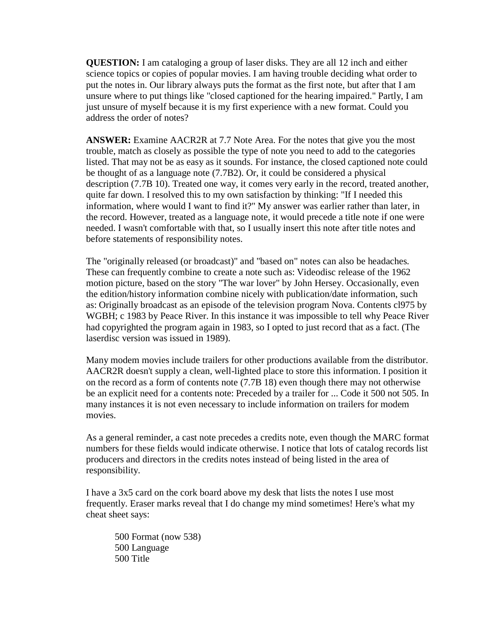**QUESTION:** I am cataloging a group of laser disks. They are all 12 inch and either science topics or copies of popular movies. I am having trouble deciding what order to put the notes in. Our library always puts the format as the first note, but after that I am unsure where to put things like "closed captioned for the hearing impaired." Partly, I am just unsure of myself because it is my first experience with a new format. Could you address the order of notes?

**ANSWER:** Examine AACR2R at 7.7 Note Area. For the notes that give you the most trouble, match as closely as possible the type of note you need to add to the categories listed. That may not be as easy as it sounds. For instance, the closed captioned note could be thought of as a language note (7.7B2). Or, it could be considered a physical description (7.7B 10). Treated one way, it comes very early in the record, treated another, quite far down. I resolved this to my own satisfaction by thinking: "If I needed this information, where would I want to find it?" My answer was earlier rather than later, in the record. However, treated as a language note, it would precede a title note if one were needed. I wasn't comfortable with that, so I usually insert this note after title notes and before statements of responsibility notes.

The "originally released (or broadcast)" and "based on" notes can also be headaches. These can frequently combine to create a note such as: Videodisc release of the 1962 motion picture, based on the story "The war lover" by John Hersey. Occasionally, even the edition/history information combine nicely with publication/date information, such as: Originally broadcast as an episode of the television program Nova. Contents cl975 by WGBH; c 1983 by Peace River. In this instance it was impossible to tell why Peace River had copyrighted the program again in 1983, so I opted to just record that as a fact. (The laserdisc version was issued in 1989).

Many modem movies include trailers for other productions available from the distributor. AACR2R doesn't supply a clean, well-lighted place to store this information. I position it on the record as a form of contents note (7.7B 18) even though there may not otherwise be an explicit need for a contents note: Preceded by a trailer for ... Code it 500 not 505. In many instances it is not even necessary to include information on trailers for modem movies.

As a general reminder, a cast note precedes a credits note, even though the MARC format numbers for these fields would indicate otherwise. I notice that lots of catalog records list producers and directors in the credits notes instead of being listed in the area of responsibility.

I have a 3x5 card on the cork board above my desk that lists the notes I use most frequently. Eraser marks reveal that I do change my mind sometimes! Here's what my cheat sheet says:

500 Format (now 538) 500 Language 500 Title